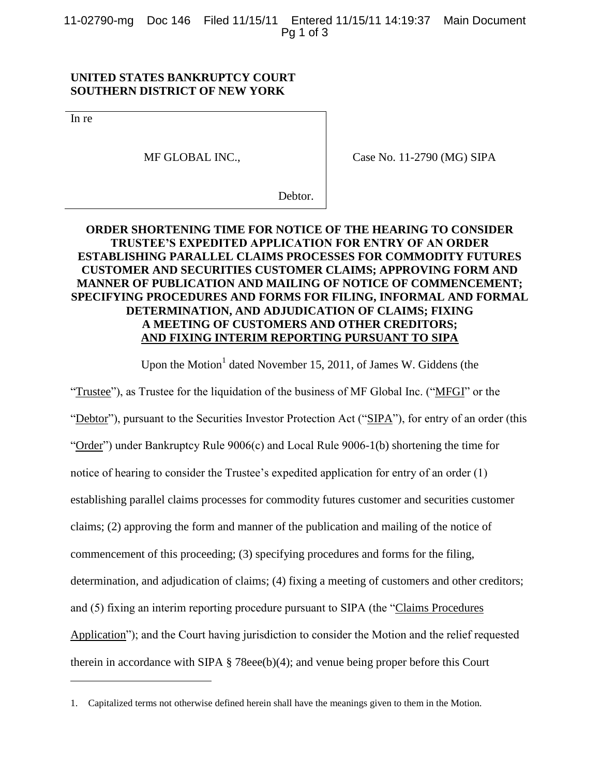11-02790-mg Doc 146 Filed 11/15/11 Entered 11/15/11 14:19:37 Main Document Pg 1 of 3

## **UNITED STATES BANKRUPTCY COURT SOUTHERN DISTRICT OF NEW YORK**

In re

l

MF GLOBAL INC.,

Case No. 11-2790 (MG) SIPA

Debtor.

## **ORDER SHORTENING TIME FOR NOTICE OF THE HEARING TO CONSIDER TRUSTEE'S EXPEDITED APPLICATION FOR ENTRY OF AN ORDER ESTABLISHING PARALLEL CLAIMS PROCESSES FOR COMMODITY FUTURES CUSTOMER AND SECURITIES CUSTOMER CLAIMS; APPROVING FORM AND MANNER OF PUBLICATION AND MAILING OF NOTICE OF COMMENCEMENT; SPECIFYING PROCEDURES AND FORMS FOR FILING, INFORMAL AND FORMAL DETERMINATION, AND ADJUDICATION OF CLAIMS; FIXING A MEETING OF CUSTOMERS AND OTHER CREDITORS; AND FIXING INTERIM REPORTING PURSUANT TO SIPA**

Upon the Motion<sup>1</sup> dated November 15, 2011, of James W. Giddens (the

"Trustee"), as Trustee for the liquidation of the business of MF Global Inc. ("MFGI" or the "Debtor"), pursuant to the Securities Investor Protection Act ("SIPA"), for entry of an order (this "Order") under Bankruptcy Rule 9006(c) and Local Rule 9006-1(b) shortening the time for notice of hearing to consider the Trustee's expedited application for entry of an order (1) establishing parallel claims processes for commodity futures customer and securities customer claims; (2) approving the form and manner of the publication and mailing of the notice of commencement of this proceeding; (3) specifying procedures and forms for the filing, determination, and adjudication of claims; (4) fixing a meeting of customers and other creditors; and (5) fixing an interim reporting procedure pursuant to SIPA (the "Claims Procedures Application"); and the Court having jurisdiction to consider the Motion and the relief requested therein in accordance with SIPA § 78eee(b)(4); and venue being proper before this Court

<sup>1.</sup> Capitalized terms not otherwise defined herein shall have the meanings given to them in the Motion.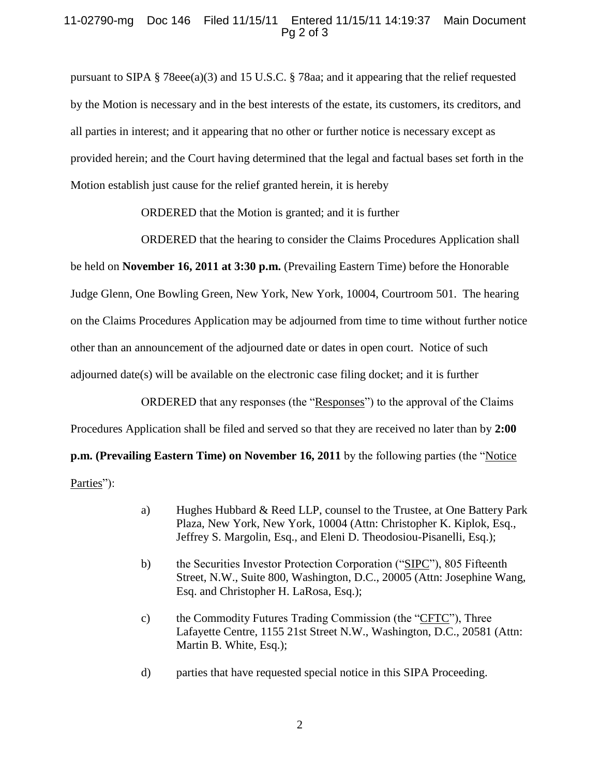## 11-02790-mg Doc 146 Filed 11/15/11 Entered 11/15/11 14:19:37 Main Document Pg 2 of 3

pursuant to SIPA § 78eee(a)(3) and 15 U.S.C. § 78aa; and it appearing that the relief requested by the Motion is necessary and in the best interests of the estate, its customers, its creditors, and all parties in interest; and it appearing that no other or further notice is necessary except as provided herein; and the Court having determined that the legal and factual bases set forth in the Motion establish just cause for the relief granted herein, it is hereby

ORDERED that the Motion is granted; and it is further

ORDERED that the hearing to consider the Claims Procedures Application shall be held on **November 16, 2011 at 3:30 p.m.** (Prevailing Eastern Time) before the Honorable Judge Glenn, One Bowling Green, New York, New York, 10004, Courtroom 501. The hearing on the Claims Procedures Application may be adjourned from time to time without further notice other than an announcement of the adjourned date or dates in open court. Notice of such adjourned date(s) will be available on the electronic case filing docket; and it is further

ORDERED that any responses (the "Responses") to the approval of the Claims Procedures Application shall be filed and served so that they are received no later than by **2:00 p.m. (Prevailing Eastern Time) on November 16, 2011** by the following parties (the "Notice" Parties"):

- a) Hughes Hubbard & Reed LLP, counsel to the Trustee, at One Battery Park Plaza, New York, New York, 10004 (Attn: Christopher K. Kiplok, Esq., Jeffrey S. Margolin, Esq., and Eleni D. Theodosiou-Pisanelli, Esq.);
- b) the Securities Investor Protection Corporation ("SIPC"), 805 Fifteenth Street, N.W., Suite 800, Washington, D.C., 20005 (Attn: Josephine Wang, Esq. and Christopher H. LaRosa, Esq.);
- c) the Commodity Futures Trading Commission (the "CFTC"), Three Lafayette Centre, 1155 21st Street N.W., Washington, D.C., 20581 (Attn: Martin B. White, Esq.);
- d) parties that have requested special notice in this SIPA Proceeding.